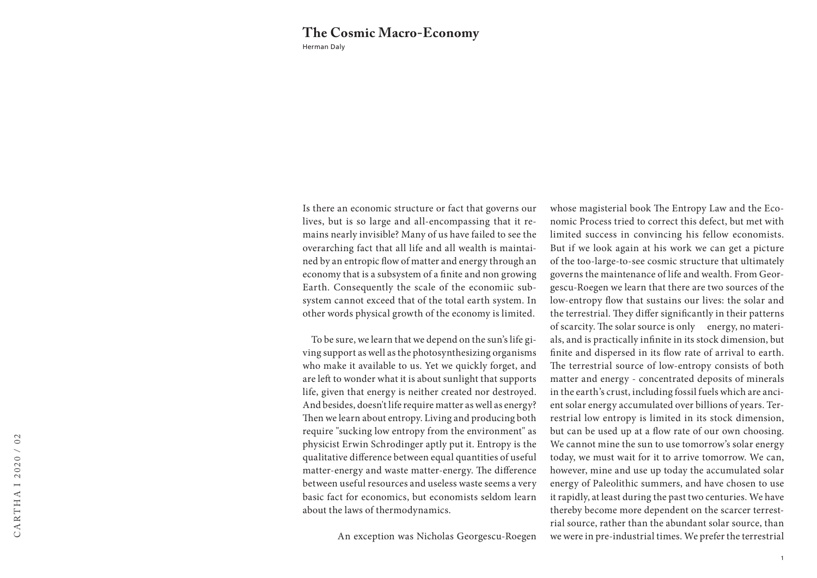## Herman Daly **The Cosmic Macro-Economy**

Is there an economic structure or fact that governs our lives, but is so large and all-encompassing that it remains nearly invisible? Many of us have failed to see the overarching fact that all life and all wealth is maintained by an entropic flow of matter and energy through an economy that is a subsystem of a finite and non growing Earth. Consequently the scale of the economiic subsystem cannot exceed that of the total earth system. In other words physical growth of the economy is limited.

 To be sure, we learn that we depend on the sun's life giving support as well as the photosynthesizing organisms who make it available to us. Yet we quickly forget, and are left to wonder what it is about sunlight that supports life, given that energy is neither created nor destroyed. And besides, doesn't life require matter as well as energy? Then we learn about entropy. Living and producing both require "sucking low entropy from the environment" as physicist Erwin Schrodinger aptly put it. Entropy is the qualitative difference between equal quantities of useful matter-energy and waste matter-energy. The difference between useful resources and useless waste seems a very basic fact for economics, but economists seldom learn about the laws of thermodynamics.

whose magisterial book The Entropy Law and the Economic Process tried to correct this defect, but met with limited success in convincing his fellow economists. But if we look again at his work we can get a picture of the too-large-to-see cosmic structure that ultimately governs the maintenance of life and wealth. From Georgescu-Roegen we learn that there are two sources of the low-entropy flow that sustains our lives: the solar and the terrestrial. They differ significantly in their patterns of scarcity. The solar source is only energy, no materials, and is practically infinite in its stock dimension, but finite and dispersed in its flow rate of arrival to earth. The terrestrial source of low-entropy consists of both matter and energy - concentrated deposits of minerals in the earth's crust, including fossil fuels which are ancient solar energy accumulated over billions of years. Terrestrial low entropy is limited in its stock dimension, but can be used up at a flow rate of our own choosing. We cannot mine the sun to use tomorrow's solar energy today, we must wait for it to arrive tomorrow. We can, however, mine and use up today the accumulated solar energy of Paleolithic summers, and have chosen to use it rapidly, at least during the past two centuries. We have thereby become more dependent on the scarcer terrestrial source, rather than the abundant solar source, than we were in pre-industrial times. We prefer the terrestrial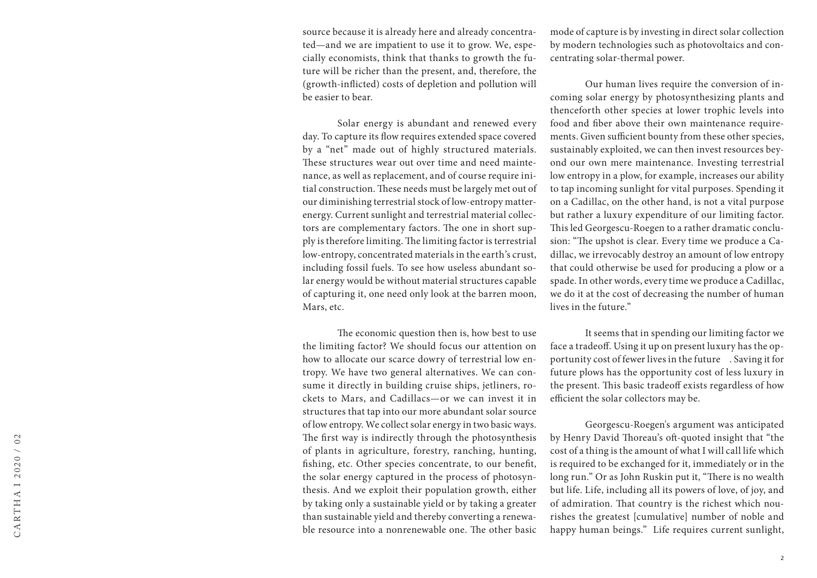source because it is already here and already concentrated—and we are impatient to use it to grow. We, especially economists, think that thanks to growth the future will be richer than the present, and, therefore, the (growth-inflicted) costs of depletion and pollution will be easier to bear.

Solar energy is abundant and renewed every day. To capture its flow requires extended space covered by a "net" made out of highly structured materials. These structures wear out over time and need maintenance, as well as replacement, and of course require initial construction. These needs must be largely met out of our diminishing terrestrial stock of low-entropy matterenergy. Current sunlight and terrestrial material collectors are complementary factors. The one in short supply is therefore limiting. The limiting factor is terrestrial low-entropy, concentrated materials in the earth's crust, including fossil fuels. To see how useless abundant solar energy would be without material structures capable of capturing it, one need only look at the barren moon, Mars, etc.

The economic question then is, how best to use the limiting factor? We should focus our attention on how to allocate our scarce dowry of terrestrial low entropy. We have two general alternatives. We can consume it directly in building cruise ships, jetliners, rockets to Mars, and Cadillacs—or we can invest it in structures that tap into our more abundant solar source of low entropy. We collect solar energy in two basic ways. The first way is indirectly through the photosynthesis of plants in agriculture, forestry, ranching, hunting, fishing, etc. Other species concentrate, to our benefit, the solar energy captured in the process of photosynthesis. And we exploit their population growth, either by taking only a sustainable yield or by taking a greater than sustainable yield and thereby converting a renewable resource into a nonrenewable one. The other basic

mode of capture is by investing in direct solar collection by modern technologies such as photovoltaics and concentrating solar-thermal power.

Our human lives require the conversion of incoming solar energy by photosynthesizing plants and thenceforth other species at lower trophic levels into food and fiber above their own maintenance requirements. Given sufficient bounty from these other species, sustainably exploited, we can then invest resources beyond our own mere maintenance. Investing terrestrial low entropy in a plow, for example, increases our ability to tap incoming sunlight for vital purposes. Spending it on a Cadillac, on the other hand, is not a vital purpose but rather a luxury expenditure of our limiting factor. This led Georgescu-Roegen to a rather dramatic conclusion: "The upshot is clear. Every time we produce a Cadillac, we irrevocably destroy an amount of low entropy that could otherwise be used for producing a plow or a spade. In other words, every time we produce a Cadillac, we do it at the cost of decreasing the number of human lives in the future."

It seems that in spending our limiting factor we face a tradeoff. Using it up on present luxury has the opportunity cost of fewer lives in the future . Saving it for future plows has the opportunity cost of less luxury in the present. This basic tradeoff exists regardless of how efficient the solar collectors may be.

Georgescu-Roegen's argument was anticipated by Henry David Thoreau's oft-quoted insight that "the cost of a thing is the amount of what I will call life which is required to be exchanged for it, immediately or in the long run." Or as John Ruskin put it, "There is no wealth but life. Life, including all its powers of love, of joy, and of admiration. That country is the richest which nourishes the greatest [cumulative] number of noble and happy human beings." Life requires current sunlight,